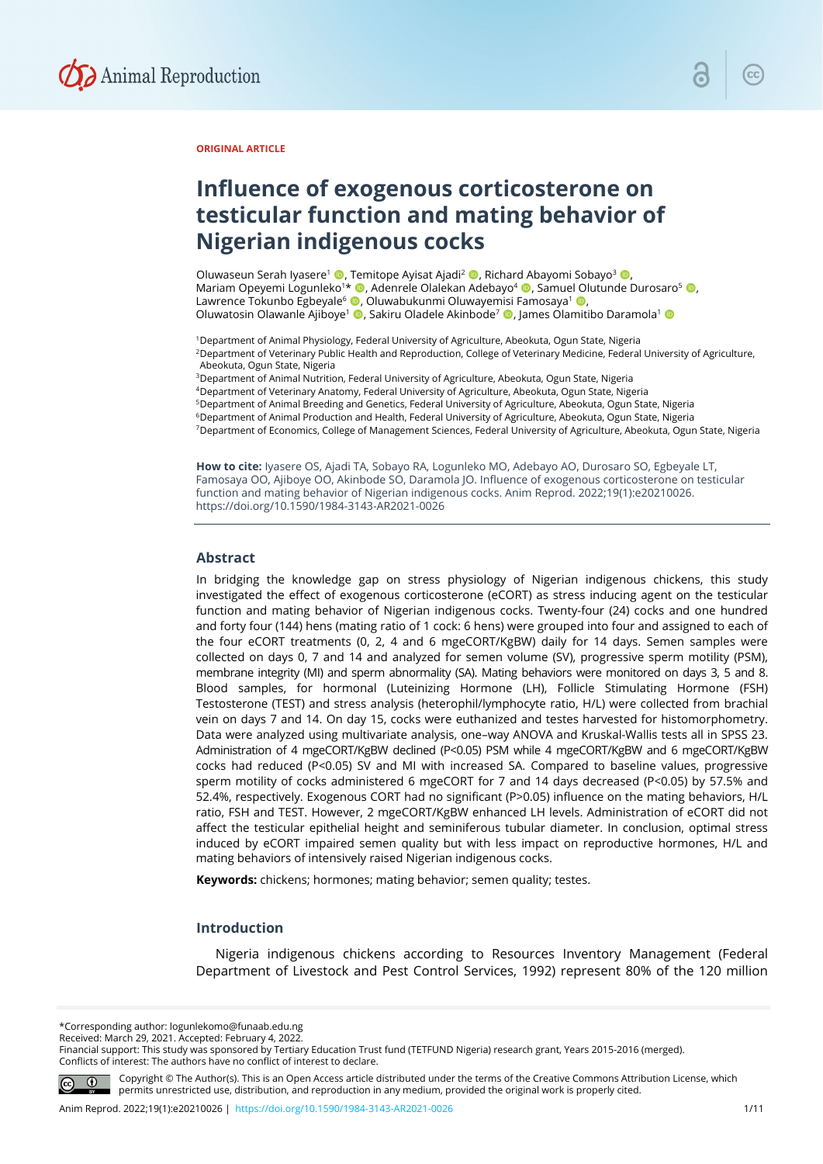

## **ORIGINAL ARTICLE**

# **Influence of exogenous corticosterone on testicular function and mating behavior of Nigerian indigenous cocks**

Oluwaseun Serah Iyasere<sup>1</sup> ©, Temitope Ayisat Ajadi<sup>2</sup> ©, Richard Abayomi Sobayo<sup>3</sup> ©, Mariam Opeyemi Logunleko<sup>1\*</sup> (D. Adenrele Olalekan Adebayo<sup>4</sup> (D. Samuel Olutunde Durosaro<sup>5</sup> (D. Lawrence Tokunbo Egbeyale<sup>6</sup> (D, Oluwabukunmi Oluwayemisi Famosaya<sup>1</sup> (D, Oluwatosin Olawanle Ajiboye<sup>1</sup> (D. Sakiru Oladele Akinbode<sup>7</sup> (D. James Olamitibo Daramola<sup>1</sup> (D

<sup>1</sup>Department of Animal Physiology, Federal University of Agriculture, Abeokuta, Ogun State, Nigeria

2Department of Veterinary Public Health and Reproduction, College of Veterinary Medicine, Federal University of Agriculture, Abeokuta, Ogun State, Nigeria

3Department of Animal Nutrition, Federal University of Agriculture, Abeokuta, Ogun State, Nigeria

4Department of Veterinary Anatomy, Federal University of Agriculture, Abeokuta, Ogun State, Nigeria

5Department of Animal Breeding and Genetics, Federal University of Agriculture, Abeokuta, Ogun State, Nigeria

6Department of Animal Production and Health, Federal University of Agriculture, Abeokuta, Ogun State, Nigeria

7Department of Economics, College of Management Sciences, Federal University of Agriculture, Abeokuta, Ogun State, Nigeria

**How to cite:** Iyasere OS, Ajadi TA, Sobayo RA, Logunleko MO, Adebayo AO, Durosaro SO, Egbeyale LT, Famosaya OO, Ajiboye OO, Akinbode SO, Daramola JO. Influence of exogenous corticosterone on testicular function and mating behavior of Nigerian indigenous cocks. Anim Reprod. 2022;19(1):e20210026. https://doi.org/10.1590/1984-3143-AR2021-0026

#### **Abstract**

In bridging the knowledge gap on stress physiology of Nigerian indigenous chickens, this study investigated the effect of exogenous corticosterone (eCORT) as stress inducing agent on the testicular function and mating behavior of Nigerian indigenous cocks. Twenty-four (24) cocks and one hundred and forty four (144) hens (mating ratio of 1 cock: 6 hens) were grouped into four and assigned to each of the four eCORT treatments (0, 2, 4 and 6 mgeCORT/KgBW) daily for 14 days. Semen samples were collected on days 0, 7 and 14 and analyzed for semen volume (SV), progressive sperm motility (PSM), membrane integrity (MI) and sperm abnormality (SA). Mating behaviors were monitored on days 3, 5 and 8. Blood samples, for hormonal (Luteinizing Hormone (LH), Follicle Stimulating Hormone (FSH) Testosterone (TEST) and stress analysis (heterophil/lymphocyte ratio, H/L) were collected from brachial vein on days 7 and 14. On day 15, cocks were euthanized and testes harvested for histomorphometry. Data were analyzed using multivariate analysis, one–way ANOVA and Kruskal-Wallis tests all in SPSS 23. Administration of 4 mgeCORT/KgBW declined (P<0.05) PSM while 4 mgeCORT/KgBW and 6 mgeCORT/KgBW cocks had reduced (P<0.05) SV and MI with increased SA. Compared to baseline values, progressive sperm motility of cocks administered 6 mgeCORT for 7 and 14 days decreased (P*<*0.05) by 57.5% and 52.4%, respectively. Exogenous CORT had no significant (P>0.05) influence on the mating behaviors, H/L ratio, FSH and TEST. However, 2 mgeCORT/KgBW enhanced LH levels. Administration of eCORT did not affect the testicular epithelial height and seminiferous tubular diameter. In conclusion, optimal stress induced by eCORT impaired semen quality but with less impact on reproductive hormones, H/L and mating behaviors of intensively raised Nigerian indigenous cocks.

**Keywords:** chickens; hormones; mating behavior; semen quality; testes.

## **Introduction**

Nigeria indigenous chickens according to Resources Inventory Management (Federal Department of Livestock and Pest Control Services, 1992) represent 80% of the 120 million

\*Corresponding author: logunlekomo@funaab.edu.ng

Received: March 29, 2021. Accepted: February 4, 2022.

Financial support: This study was sponsored by Tertiary Education Trust fund (TETFUND Nigeria) research grant, Years 2015-2016 (merged). Conflicts of interest: The authors have no conflict of interest to declare.



Copyright © The Author(s). This is an Open Access article distributed under the terms of the Creative Commons Attribution License, which permits unrestricted use, distribution, and reproduction in any medium, provided the original work is properly cited.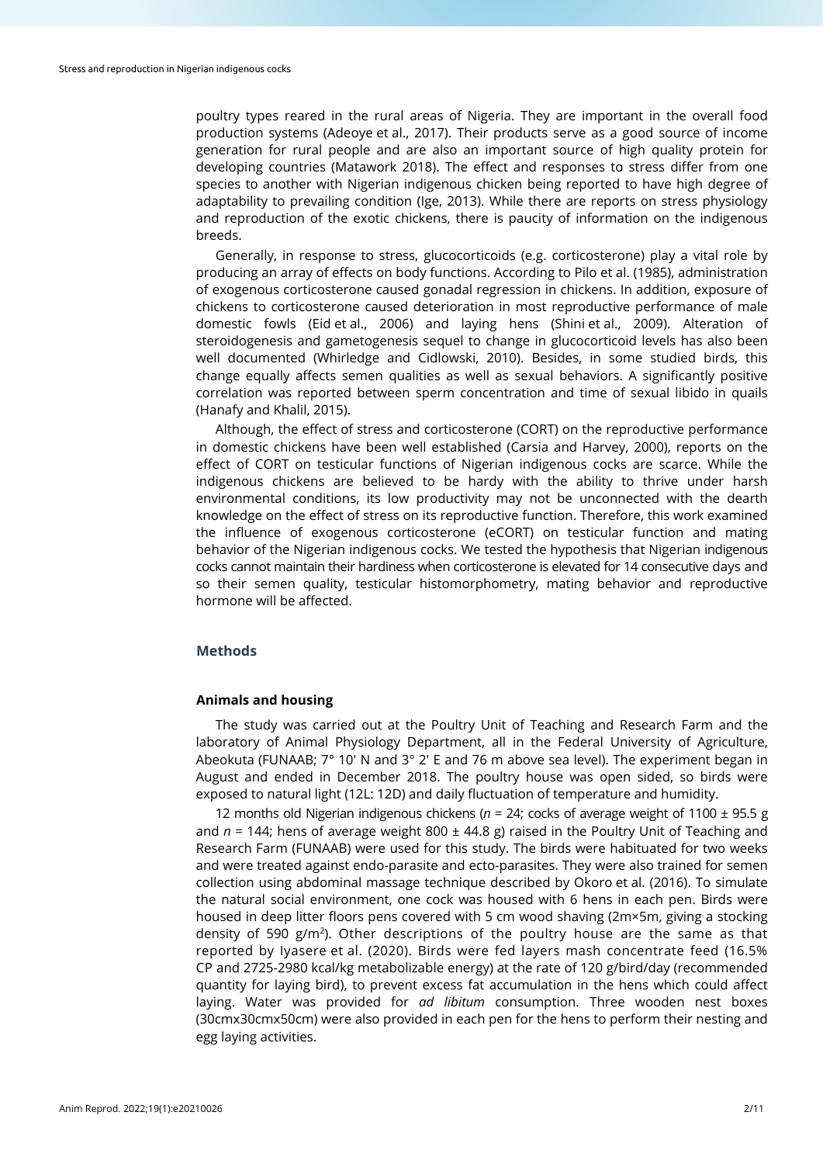poultry types reared in the rural areas of Nigeria. They are important in the overall food production systems (Adeoye et al., 2017). Their products serve as a good source of income generation for rural people and are also an important source of high quality protein for developing countries (Matawork 2018). The effect and responses to stress differ from one species to another with Nigerian indigenous chicken being reported to have high degree of adaptability to prevailing condition (Ige, 2013). While there are reports on stress physiology and reproduction of the exotic chickens, there is paucity of information on the indigenous breeds.

Generally, in response to stress, glucocorticoids (e.g. corticosterone) play a vital role by producing an array of effects on body functions. According to Pilo et al. (1985), administration of exogenous corticosterone caused gonadal regression in chickens. In addition, exposure of chickens to corticosterone caused deterioration in most reproductive performance of male domestic fowls (Eid et al., 2006) and laying hens (Shini et al., 2009). Alteration of steroidogenesis and gametogenesis sequel to change in glucocorticoid levels has also been well documented (Whirledge and Cidlowski, 2010). Besides, in some studied birds, this change equally affects semen qualities as well as sexual behaviors. A significantly positive correlation was reported between sperm concentration and time of sexual libido in quails (Hanafy and Khalil, 2015).

Although, the effect of stress and corticosterone (CORT) on the reproductive performance in domestic chickens have been well established (Carsia and Harvey, 2000), reports on the effect of CORT on testicular functions of Nigerian indigenous cocks are scarce. While the indigenous chickens are believed to be hardy with the ability to thrive under harsh environmental conditions, its low productivity may not be unconnected with the dearth knowledge on the effect of stress on its reproductive function. Therefore, this work examined the influence of exogenous corticosterone (eCORT) on testicular function and mating behavior of the Nigerian indigenous cocks. We tested the hypothesis that Nigerian indigenous cocks cannot maintain their hardiness when corticosterone is elevated for 14 consecutive days and so their semen quality, testicular histomorphometry, mating behavior and reproductive hormone will be affected.

# **Methods**

## **Animals and housing**

The study was carried out at the Poultry Unit of Teaching and Research Farm and the laboratory of Animal Physiology Department, all in the Federal University of Agriculture, Abeokuta (FUNAAB; 7° 10' N and 3° 2' E and 76 m above sea level). The experiment began in August and ended in December 2018. The poultry house was open sided, so birds were exposed to natural light (12L: 12D) and daily fluctuation of temperature and humidity.

12 months old Nigerian indigenous chickens (*n* = 24; cocks of average weight of 1100 ± 95.5 g and  $n = 144$ ; hens of average weight 800  $\pm$  44.8 g) raised in the Poultry Unit of Teaching and Research Farm (FUNAAB) were used for this study. The birds were habituated for two weeks and were treated against endo-parasite and ecto-parasites. They were also trained for semen collection using abdominal massage technique described by Okoro et al. (2016). To simulate the natural social environment, one cock was housed with 6 hens in each pen. Birds were housed in deep litter floors pens covered with 5 cm wood shaving (2m×5m, giving a stocking density of 590  $g/m<sup>2</sup>$ ). Other descriptions of the poultry house are the same as that reported by Iyasere et al. (2020). Birds were fed layers mash concentrate feed (16.5% CP and 2725-2980 kcal/kg metabolizable energy) at the rate of 120 g/bird/day (recommended quantity for laying bird), to prevent excess fat accumulation in the hens which could affect laying. Water was provided for *ad libitum* consumption. Three wooden nest boxes (30cmx30cmx50cm) were also provided in each pen for the hens to perform their nesting and egg laying activities.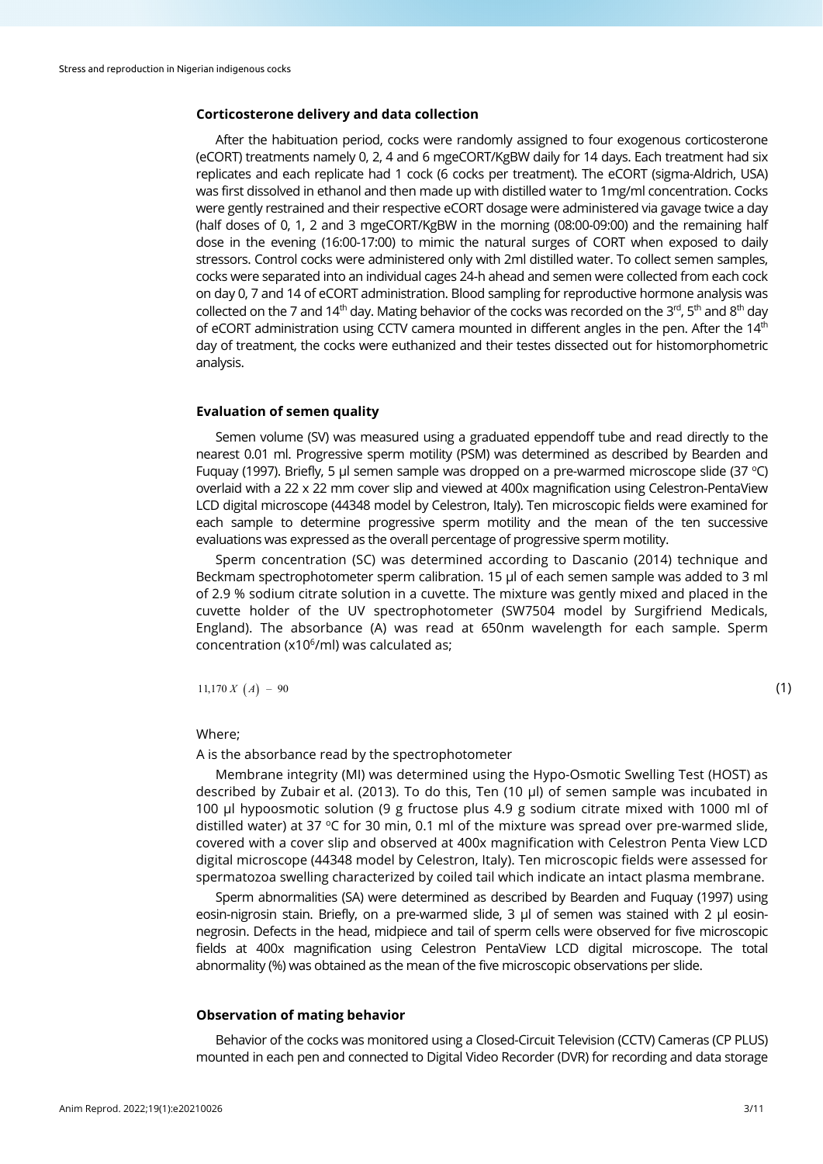## **Corticosterone delivery and data collection**

After the habituation period, cocks were randomly assigned to four exogenous corticosterone (eCORT) treatments namely 0, 2, 4 and 6 mgeCORT/KgBW daily for 14 days. Each treatment had six replicates and each replicate had 1 cock (6 cocks per treatment). The eCORT (sigma-Aldrich, USA) was first dissolved in ethanol and then made up with distilled water to 1mg/ml concentration. Cocks were gently restrained and their respective eCORT dosage were administered via gavage twice a day (half doses of 0, 1, 2 and 3 mgeCORT/KgBW in the morning (08:00-09:00) and the remaining half dose in the evening (16:00-17:00) to mimic the natural surges of CORT when exposed to daily stressors. Control cocks were administered only with 2ml distilled water. To collect semen samples, cocks were separated into an individual cages 24-h ahead and semen were collected from each cock on day 0, 7 and 14 of eCORT administration. Blood sampling for reproductive hormone analysis was collected on the 7 and 14<sup>th</sup> day. Mating behavior of the cocks was recorded on the 3<sup>rd</sup>, 5<sup>th</sup> and 8<sup>th</sup> day of eCORT administration using CCTV camera mounted in different angles in the pen. After the  $14<sup>th</sup>$ day of treatment, the cocks were euthanized and their testes dissected out for histomorphometric analysis.

## **Evaluation of semen quality**

Semen volume (SV) was measured using a graduated eppendoff tube and read directly to the nearest 0.01 ml. Progressive sperm motility (PSM) was determined as described by Bearden and Fuquay (1997). Briefly, 5 µl semen sample was dropped on a pre-warmed microscope slide (37 °C) overlaid with a 22 x 22 mm cover slip and viewed at 400x magnification using Celestron-PentaView LCD digital microscope (44348 model by Celestron, Italy). Ten microscopic fields were examined for each sample to determine progressive sperm motility and the mean of the ten successive evaluations was expressed as the overall percentage of progressive sperm motility.

Sperm concentration (SC) was determined according to Dascanio (2014) technique and Beckmam spectrophotometer sperm calibration. 15 μl of each semen sample was added to 3 ml of 2.9 % sodium citrate solution in a cuvette. The mixture was gently mixed and placed in the cuvette holder of the UV spectrophotometer (SW7504 model by Surgifriend Medicals, England). The absorbance (A) was read at 650nm wavelength for each sample. Sperm concentration (x10<sup>6</sup>/ml) was calculated as;

 $11,170 X (A) - 90$  (1)

# Where;

A is the absorbance read by the spectrophotometer

Membrane integrity (MI) was determined using the Hypo-Osmotic Swelling Test (HOST) as described by Zubair et al. (2013). To do this, Ten (10 μl) of semen sample was incubated in 100 μl hypoosmotic solution (9 g fructose plus 4.9 g sodium citrate mixed with 1000 ml of distilled water) at 37 °C for 30 min, 0.1 ml of the mixture was spread over pre-warmed slide. covered with a cover slip and observed at 400x magnification with Celestron Penta View LCD digital microscope (44348 model by Celestron, Italy). Ten microscopic fields were assessed for spermatozoa swelling characterized by coiled tail which indicate an intact plasma membrane.

Sperm abnormalities (SA) were determined as described by Bearden and Fuquay (1997) using eosin-nigrosin stain. Briefly, on a pre-warmed slide, 3 μl of semen was stained with 2 μl eosinnegrosin. Defects in the head, midpiece and tail of sperm cells were observed for five microscopic fields at 400x magnification using Celestron PentaView LCD digital microscope. The total abnormality (%) was obtained as the mean of the five microscopic observations per slide.

# **Observation of mating behavior**

Behavior of the cocks was monitored using a Closed-Circuit Television (CCTV) Cameras (CP PLUS) mounted in each pen and connected to Digital Video Recorder (DVR) for recording and data storage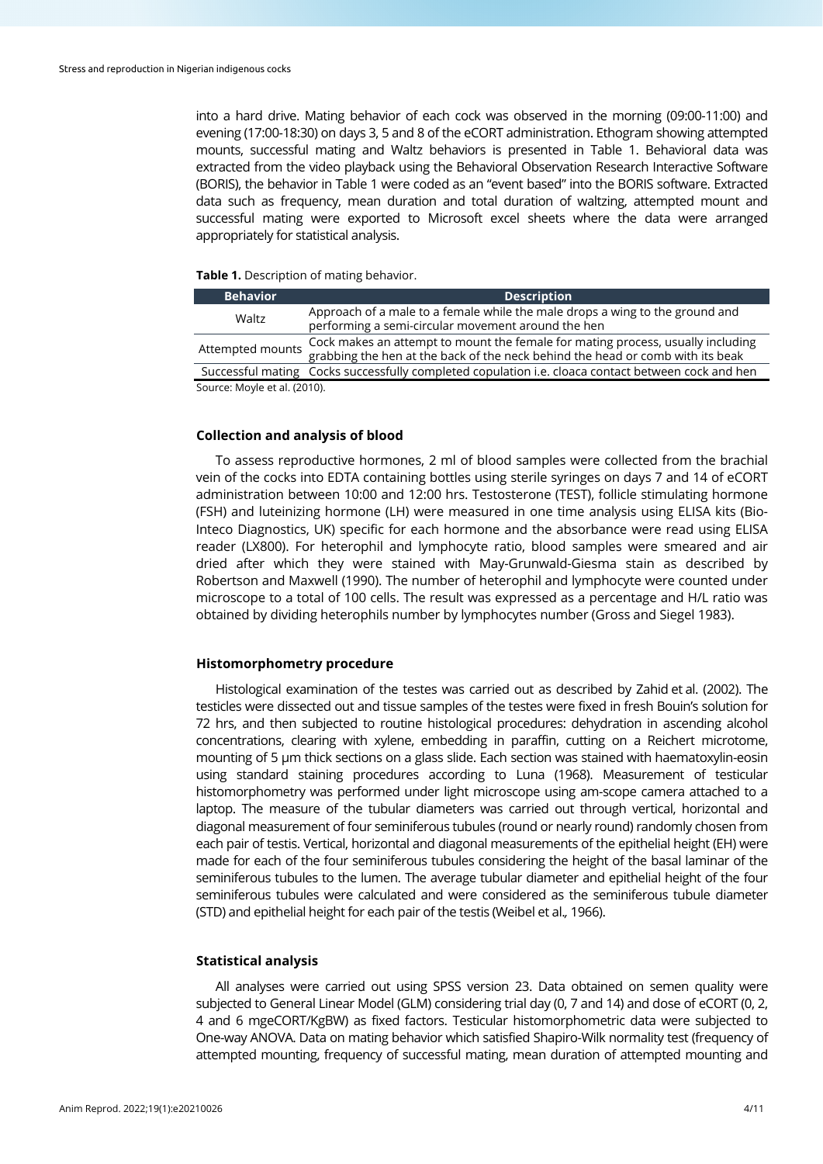into a hard drive. Mating behavior of each cock was observed in the morning (09:00-11:00) and evening (17:00-18:30) on days 3, 5 and 8 of the eCORT administration. Ethogram showing attempted mounts, successful mating and Waltz behaviors is presented in Table 1. Behavioral data was extracted from the video playback using the Behavioral Observation Research Interactive Software (BORIS), the behavior in Table 1 were coded as an "event based" into the BORIS software. Extracted data such as frequency, mean duration and total duration of waltzing, attempted mount and successful mating were exported to Microsoft excel sheets where the data were arranged appropriately for statistical analysis.

## **Table 1.** Description of mating behavior.

| <b>Behavior</b>              | <b>Description</b>                                                                                                                                                |
|------------------------------|-------------------------------------------------------------------------------------------------------------------------------------------------------------------|
| Waltz                        | Approach of a male to a female while the male drops a wing to the ground and<br>performing a semi-circular movement around the hen                                |
| Attempted mounts             | Cock makes an attempt to mount the female for mating process, usually including<br>grabbing the hen at the back of the neck behind the head or comb with its beak |
|                              | Successful mating Cocks successfully completed copulation i.e. cloaca contact between cock and hen                                                                |
| Source: Moyle et al. (2010). |                                                                                                                                                                   |

## **Collection and analysis of blood**

To assess reproductive hormones, 2 ml of blood samples were collected from the brachial vein of the cocks into EDTA containing bottles using sterile syringes on days 7 and 14 of eCORT administration between 10:00 and 12:00 hrs. Testosterone (TEST), follicle stimulating hormone (FSH) and luteinizing hormone (LH) were measured in one time analysis using ELISA kits (Bio-Inteco Diagnostics, UK) specific for each hormone and the absorbance were read using ELISA reader (LX800). For heterophil and lymphocyte ratio, blood samples were smeared and air dried after which they were stained with May-Grunwald-Giesma stain as described by Robertson and Maxwell (1990). The number of heterophil and lymphocyte were counted under microscope to a total of 100 cells. The result was expressed as a percentage and H/L ratio was obtained by dividing heterophils number by lymphocytes number (Gross and Siegel 1983).

#### **Histomorphometry procedure**

Histological examination of the testes was carried out as described by Zahid et al. (2002). The testicles were dissected out and tissue samples of the testes were fixed in fresh Bouin's solution for 72 hrs, and then subjected to routine histological procedures: dehydration in ascending alcohol concentrations, clearing with xylene, embedding in paraffin, cutting on a Reichert microtome, mounting of 5 µm thick sections on a glass slide. Each section was stained with haematoxylin-eosin using standard staining procedures according to Luna (1968). Measurement of testicular histomorphometry was performed under light microscope using am-scope camera attached to a laptop. The measure of the tubular diameters was carried out through vertical, horizontal and diagonal measurement of four seminiferous tubules (round or nearly round) randomly chosen from each pair of testis. Vertical, horizontal and diagonal measurements of the epithelial height (EH) were made for each of the four seminiferous tubules considering the height of the basal laminar of the seminiferous tubules to the lumen. The average tubular diameter and epithelial height of the four seminiferous tubules were calculated and were considered as the seminiferous tubule diameter (STD) and epithelial height for each pair of the testis (Weibel et al.*,* 1966).

#### **Statistical analysis**

All analyses were carried out using SPSS version 23. Data obtained on semen quality were subjected to General Linear Model (GLM) considering trial day (0, 7 and 14) and dose of eCORT (0, 2, 4 and 6 mgeCORT/KgBW) as fixed factors. Testicular histomorphometric data were subjected to One-way ANOVA. Data on mating behavior which satisfied Shapiro-Wilk normality test (frequency of attempted mounting, frequency of successful mating, mean duration of attempted mounting and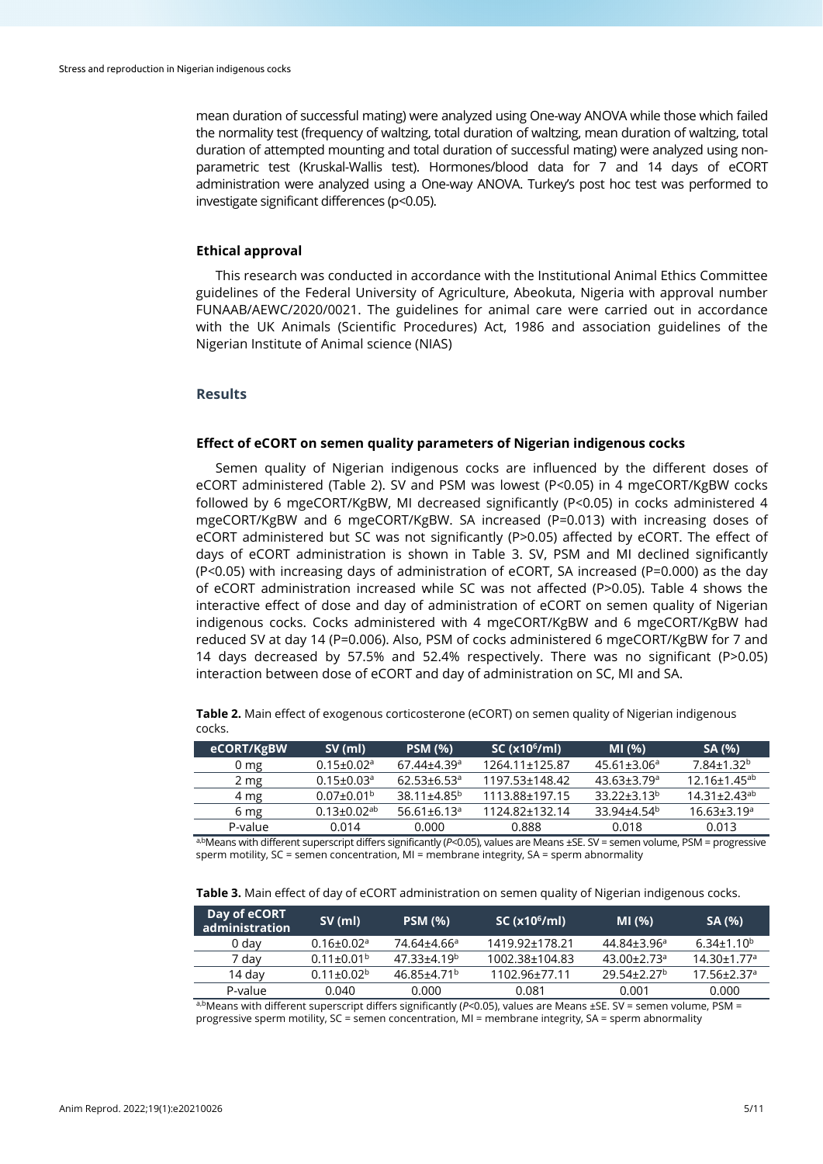mean duration of successful mating) were analyzed using One-way ANOVA while those which failed the normality test (frequency of waltzing, total duration of waltzing, mean duration of waltzing, total duration of attempted mounting and total duration of successful mating) were analyzed using nonparametric test (Kruskal-Wallis test). Hormones/blood data for 7 and 14 days of eCORT administration were analyzed using a One-way ANOVA. Turkey's post hoc test was performed to investigate significant differences (p*<*0.05).

# **Ethical approval**

This research was conducted in accordance with the Institutional Animal Ethics Committee guidelines of the Federal University of Agriculture, Abeokuta, Nigeria with approval number FUNAAB/AEWC/2020/0021. The guidelines for animal care were carried out in accordance with the UK Animals (Scientific Procedures) Act, 1986 and association guidelines of the Nigerian Institute of Animal science (NIAS)

# **Results**

#### **Effect of eCORT on semen quality parameters of Nigerian indigenous cocks**

Semen quality of Nigerian indigenous cocks are influenced by the different doses of eCORT administered (Table 2). SV and PSM was lowest (P*<*0.05) in 4 mgeCORT/KgBW cocks followed by 6 mgeCORT/KgBW, MI decreased significantly (P*<*0.05) in cocks administered 4 mgeCORT/KgBW and 6 mgeCORT/KgBW. SA increased (P=0.013) with increasing doses of eCORT administered but SC was not significantly (P>0.05) affected by eCORT. The effect of days of eCORT administration is shown in Table 3. SV, PSM and MI declined significantly (P*<*0.05) with increasing days of administration of eCORT, SA increased (P=0.000) as the day of eCORT administration increased while SC was not affected (P>0.05). Table 4 shows the interactive effect of dose and day of administration of eCORT on semen quality of Nigerian indigenous cocks. Cocks administered with 4 mgeCORT/KgBW and 6 mgeCORT/KgBW had reduced SV at day 14 (P=0.006). Also, PSM of cocks administered 6 mgeCORT/KgBW for 7 and 14 days decreased by 57.5% and 52.4% respectively. There was no significant (P>0.05) interaction between dose of eCORT and day of administration on SC, MI and SA.

**Table 2.** Main effect of exogenous corticosterone (eCORT) on semen quality of Nigerian indigenous cocks.

| eCORT/KgBW      | $SV$ (ml)                     | <b>PSM (%)</b>                | SC(x10 <sup>6</sup> /ml) | MI(%)                         | SA (%)                         |
|-----------------|-------------------------------|-------------------------------|--------------------------|-------------------------------|--------------------------------|
| 0 <sub>mg</sub> | $0.15 \pm 0.02$ <sup>a</sup>  | $67.44{\pm}4.39$ <sup>a</sup> | 1264.11±125.87           | $45.61 \pm 3.06^a$            | $7.84 \pm 1.32$ <sup>b</sup>   |
| 2 mg            | $0.15 \pm 0.03$ <sup>a</sup>  | $62.53 + 6.53$ <sup>a</sup>   | 1197.53+148.42           | $43.63 \pm 3.79$ <sup>a</sup> | $12.16 \pm 1.45$ <sup>ab</sup> |
| 4 mg            | $0.07 \pm 0.01$ <sup>b</sup>  | $38.11 + 4.85^{b}$            | 1113.88+197.15           | $33.22 + 3.13^{b}$            | $14.31 + 2.43$ <sup>ab</sup>   |
| 6 mg            | $0.13 \pm 0.02$ <sup>ab</sup> | $56.61 \pm 6.13$ <sup>a</sup> | 1124.82±132.14           | 33.94+4.54 <sup>b</sup>       | $16.63 \pm 3.19$ <sup>a</sup>  |
| P-value         | 0.014                         | 0.000                         | 0.888                    | 0.018                         | 0.013                          |
| .<br>$\cdots$   | $\sim$ $\sim$                 |                               |                          | -- - -                        | ----                           |

a,bMeans with different superscript differs significantly (*P<*0.05), values are Means ±SE. SV = semen volume, PSM = progressive sperm motility, SC = semen concentration, MI = membrane integrity, SA = sperm abnormality

**Table 3.** Main effect of day of eCORT administration on semen quality of Nigerian indigenous cocks.

| Day of eCORT<br>administration | $SV$ (ml)                    | <b>PSM (%)</b>          | SC(x10 <sup>6</sup> /ml) | MI(%)                       | SA (%)                        |
|--------------------------------|------------------------------|-------------------------|--------------------------|-----------------------------|-------------------------------|
| 0 day                          | $0.16 \pm 0.02$ <sup>a</sup> | 74.64±4.66ª             | 1419.92±178.21           | $44.84\pm3.96^a$            | $6.34 \pm 1.10^{b}$           |
| 7 dav                          | $0.11 \pm 0.01^{\rm b}$      | 47.33±4.19 <sup>b</sup> | 1002.38±104.83           | $43.00 + 2.73$ <sup>a</sup> | $14.30 \pm 1.77$ <sup>a</sup> |
| 14 dav                         | $0.11 + 0.02b$               | 46.85+4.71 <sup>b</sup> | 1102.96±77.11            | 29.54+2.27 <sup>b</sup>     | $17.56 \pm 2.37$ <sup>a</sup> |
| P-value                        | 0.040                        | 0.000                   | 0.081                    | 0.001                       | 0.000                         |

a,bMeans with different superscript differs significantly (*P<*0.05), values are Means ±SE. SV = semen volume, PSM = progressive sperm motility, SC = semen concentration, MI = membrane integrity, SA = sperm abnormality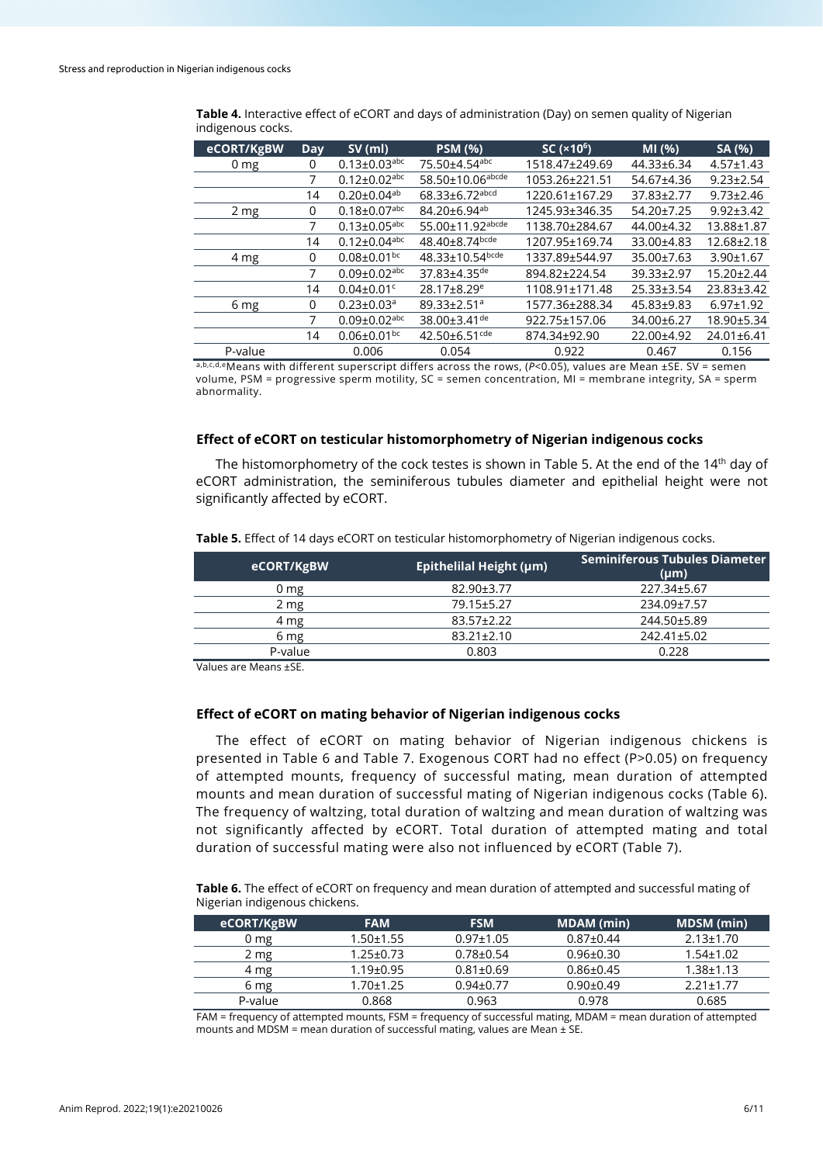| eCORT/KgBW      | <b>Day</b> | $SV$ (ml)                      | <b>PSM (%)</b>                    | SC (×10 <sup>6</sup> ) | MI(% )     | SA (%)           |
|-----------------|------------|--------------------------------|-----------------------------------|------------------------|------------|------------------|
| 0 <sub>mg</sub> | 0          | $0.13 \pm 0.03$ <sup>abc</sup> | 75.50±4.54abc                     | 1518.47±249.69         | 44.33±6.34 | $4.57 \pm 1.43$  |
|                 | 7          | $0.12 \pm 0.02$ <sup>abc</sup> | 58.50±10.06 <sup>abcde</sup>      | 1053.26±221.51         | 54.67±4.36 | $9.23 \pm 2.54$  |
|                 | 14         | $0.20 \pm 0.04$ <sup>ab</sup>  | $68.33 \pm 6.72$ <sup>abcd</sup>  | 1220.61±167.29         | 37.83±2.77 | $9.73 \pm 2.46$  |
| 2 <sub>mg</sub> | $\Omega$   | $0.18 \pm 0.07$ <sup>abc</sup> | 84.20±6.94 <sup>ab</sup>          | 1245.93±346.35         | 54.20±7.25 | $9.92 \pm 3.42$  |
|                 | 7          | $0.13 \pm 0.05$ <sup>abc</sup> | 55.00±11.92abcde                  | 1138.70±284.67         | 44.00±4.32 | 13.88±1.87       |
|                 | 14         | $0.12 \pm 0.04$ <sup>abc</sup> | $48.40 \pm 8.74$ <sub>bcde</sub>  | 1207.95±169.74         | 33.00±4.83 | 12.68±2.18       |
| 4 mg            | 0          | $0.08 \pm 0.01$ <sub>bc</sub>  | $48.33 \pm 10.54$ <sub>bcde</sub> | 1337.89±544.97         | 35.00±7.63 | $3.90 \pm 1.67$  |
|                 | 7          | $0.09 \pm 0.02$ abc            | 37.83±4.35de                      | 894.82±224.54          | 39.33±2.97 | $15.20 \pm 2.44$ |
|                 | 14         | $0.04 \pm 0.01$ <sup>c</sup>   | 28.17±8.29 <sup>e</sup>           | 1108.91±171.48         | 25.33±3.54 | 23.83±3.42       |
| 6 mg            | 0          | $0.23 \pm 0.03$ <sup>a</sup>   | 89.33±2.51ª                       | 1577.36±288.34         | 45.83±9.83 | $6.97 \pm 1.92$  |
|                 | 7          | $0.09 \pm 0.02$ abc            | 38.00 $\pm$ 3.41 <sup>de</sup>    | 922.75±157.06          | 34.00±6.27 | 18.90±5.34       |
|                 | 14         | $0.06 \pm 0.01$ <sub>bc</sub>  | $42.50\pm6.51$ <sup>cde</sup>     | 874.34±92.90           | 22.00±4.92 | 24.01±6.41       |
| P-value         |            | 0.006                          | 0.054                             | 0.922                  | 0.467      | 0.156            |

**Table 4.** Interactive effect of eCORT and days of administration (Day) on semen quality of Nigerian indigenous cocks.

a,b,c,d,eMeans with different superscript differs across the rows, (*P*<0.05), values are Mean ±SE. SV = semen volume, PSM = progressive sperm motility, SC = semen concentration, MI = membrane integrity, SA = sperm abnormality.

## **Effect of eCORT on testicular histomorphometry of Nigerian indigenous cocks**

The histomorphometry of the cock testes is shown in Table 5. At the end of the  $14<sup>th</sup>$  day of eCORT administration, the seminiferous tubules diameter and epithelial height were not significantly affected by eCORT.

| eCORT/KgBW | <b>Epithelilal Height (µm)</b> | <b>Seminiferous Tubules Diameter</b><br>$(\mu m)$ |
|------------|--------------------------------|---------------------------------------------------|
| $0 \, mg$  | 82.90±3.77                     | 227.34±5.67                                       |
| 2 mg       | 79.15±5.27                     | 234.09±7.57                                       |
| 4 mg       | $83.57 \pm 2.22$               | 244.50±5.89                                       |
| 6 mg       | $83.21 \pm 2.10$               | 242.41±5.02                                       |
| P-value    | 0.803                          | 0.228                                             |

**Table 5.** Effect of 14 days eCORT on testicular histomorphometry of Nigerian indigenous cocks.

Values are Means ±SE.

# **Effect of eCORT on mating behavior of Nigerian indigenous cocks**

The effect of eCORT on mating behavior of Nigerian indigenous chickens is presented in Table 6 and Table 7. Exogenous CORT had no effect (P>0.05) on frequency of attempted mounts, frequency of successful mating, mean duration of attempted mounts and mean duration of successful mating of Nigerian indigenous cocks (Table 6). The frequency of waltzing, total duration of waltzing and mean duration of waltzing was not significantly affected by eCORT. Total duration of attempted mating and total duration of successful mating were also not influenced by eCORT (Table 7).

**Table 6.** The effect of eCORT on frequency and mean duration of attempted and successful mating of Nigerian indigenous chickens.

| eCORT/KgBW      | <b>FAM</b>      | <b>FSM</b>      | <b>MDAM</b> (min) | MDSM (min)      |
|-----------------|-----------------|-----------------|-------------------|-----------------|
| 0 <sub>mg</sub> | $1.50 + 1.55$   | $0.97 \pm 1.05$ | $0.87 \pm 0.44$   | $2.13 \pm 1.70$ |
| 2 mg            | $1.25 \pm 0.73$ | $0.78 \pm 0.54$ | $0.96 \pm 0.30$   | 1.54±1.02       |
| 4 mg            | $1.19 \pm 0.95$ | $0.81 \pm 0.69$ | $0.86 \pm 0.45$   | $1.38 \pm 1.13$ |
| 6 mg            | $1.70 \pm 1.25$ | $0.94 \pm 0.77$ | $0.90 \pm 0.49$   | $2.21 \pm 1.77$ |
| P-value         | 0.868           | 0.963           | 0.978             | 0.685           |

FAM = frequency of attempted mounts, FSM = frequency of successful mating, MDAM = mean duration of attempted mounts and MDSM = mean duration of successful mating, values are Mean ± SE.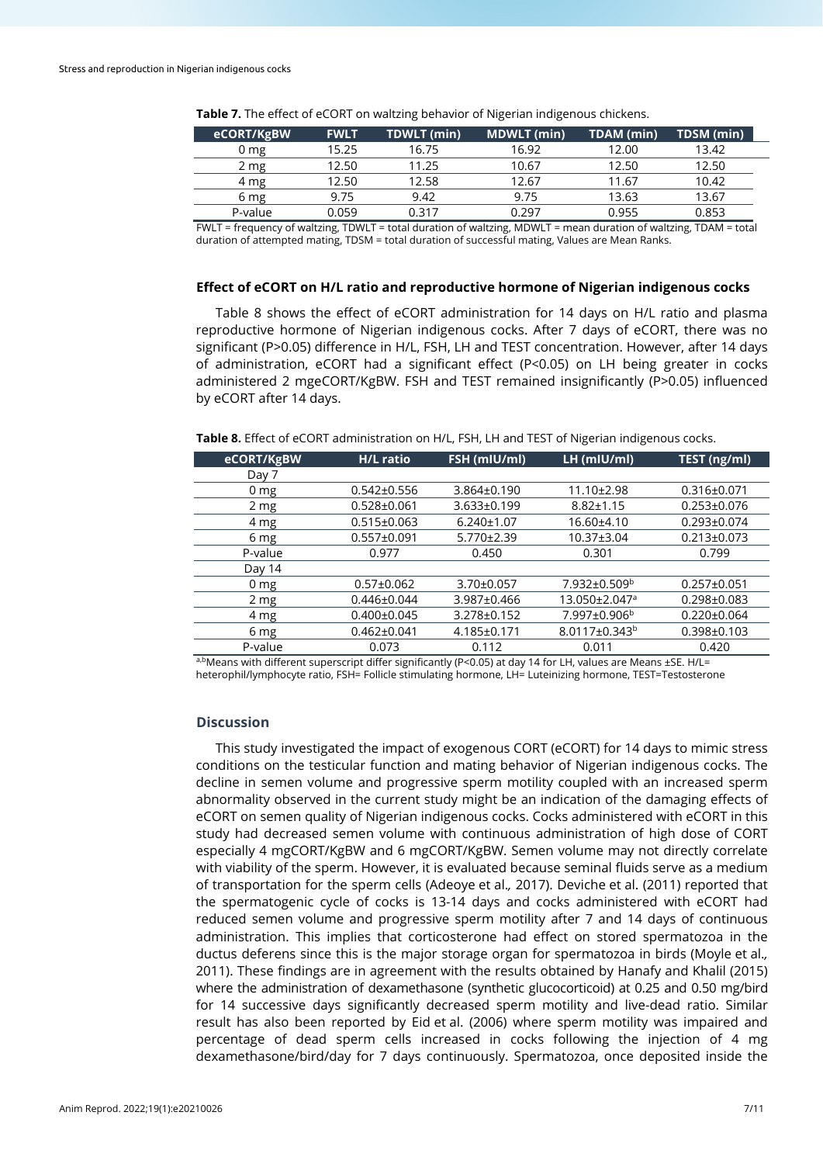| eCORT/KgBW | <b>FWLT</b> | <b>TDWLT</b> (min) | <b>MDWLT</b> (min) | TDAM (min) | TDSM (min) |
|------------|-------------|--------------------|--------------------|------------|------------|
| J mg       | 15.25       | 16.75              | 16.92              | 12.00      | 13.42      |
| $2 \, mg$  | 12.50       | 11.25              | 10.67              | 12.50      | 12.50      |
| 4 mg       | 12.50       | 12.58              | 12.67              | 11.67      | 10.42      |
| 6 mg       | 9.75        | 9.42               | 9.75               | 13.63      | 13.67      |
| P-value    | 0.059       | 0.317              | በ 297              | 0.955      | 0.853      |

**Table 7.** The effect of eCORT on waltzing behavior of Nigerian indigenous chickens.

FWLT = frequency of waltzing, TDWLT = total duration of waltzing, MDWLT = mean duration of waltzing, TDAM = total duration of attempted mating, TDSM = total duration of successful mating, Values are Mean Ranks.

# **Effect of eCORT on H/L ratio and reproductive hormone of Nigerian indigenous cocks**

Table 8 shows the effect of eCORT administration for 14 days on H/L ratio and plasma reproductive hormone of Nigerian indigenous cocks. After 7 days of eCORT, there was no significant (P>0.05) difference in H/L, FSH, LH and TEST concentration. However, after 14 days of administration, eCORT had a significant effect (P*<*0.05) on LH being greater in cocks administered 2 mgeCORT/KgBW. FSH and TEST remained insignificantly (P>0.05) influenced by eCORT after 14 days.

**Table 8.** Effect of eCORT administration on H/L, FSH, LH and TEST of Nigerian indigenous cocks.

| eCORT/KgBW      | <b>H/L</b> ratio  | FSH (mIU/ml)      | $\overline{\mathsf{LH}}$ (mIU/ml) | TEST (ng/ml)      |
|-----------------|-------------------|-------------------|-----------------------------------|-------------------|
| Day 7           |                   |                   |                                   |                   |
| 0 <sub>mg</sub> | $0.542 \pm 0.556$ | $3.864 \pm 0.190$ | 11.10±2.98                        | $0.316 \pm 0.071$ |
| 2 mg            | $0.528 \pm 0.061$ | 3.633±0.199       | $8.82 \pm 1.15$                   | $0.253 \pm 0.076$ |
| 4 mg            | $0.515 \pm 0.063$ | $6.240 \pm 1.07$  | 16.60±4.10                        | $0.293 \pm 0.074$ |
| 6 mg            | $0.557 \pm 0.091$ | 5.770±2.39        | 10.37±3.04                        | $0.213 \pm 0.073$ |
| P-value         | 0.977             | 0.450             | 0.301                             | 0.799             |
| Day 14          |                   |                   |                                   |                   |
| 0 <sub>mg</sub> | $0.57 \pm 0.062$  | $3.70 \pm 0.057$  | 7.932±0.509 <sup>b</sup>          | $0.257 \pm 0.051$ |
| 2 mg            | $0.446 \pm 0.044$ | 3.987±0.466       | 13.050±2.047ª                     | $0.298 \pm 0.083$ |
| 4 mg            | $0.400 \pm 0.045$ | 3.278±0.152       | 7.997±0.906 <sup>b</sup>          | $0.220 \pm 0.064$ |
| 6 mg            | $0.462 \pm 0.041$ | 4.185±0.171       | 8.0117±0.343 <sup>b</sup>         | $0.398 \pm 0.103$ |
| P-value         | 0.073             | 0.112             | 0.011                             | 0.420             |
|                 |                   |                   |                                   |                   |

a,bMeans with different superscript differ significantly (P<0.05) at day 14 for LH, values are Means ±SE. H/L= heterophil/lymphocyte ratio, FSH= Follicle stimulating hormone, LH= Luteinizing hormone, TEST=Testosterone

# **Discussion**

This study investigated the impact of exogenous CORT (eCORT) for 14 days to mimic stress conditions on the testicular function and mating behavior of Nigerian indigenous cocks. The decline in semen volume and progressive sperm motility coupled with an increased sperm abnormality observed in the current study might be an indication of the damaging effects of eCORT on semen quality of Nigerian indigenous cocks. Cocks administered with eCORT in this study had decreased semen volume with continuous administration of high dose of CORT especially 4 mgCORT/KgBW and 6 mgCORT/KgBW. Semen volume may not directly correlate with viability of the sperm. However, it is evaluated because seminal fluids serve as a medium of transportation for the sperm cells (Adeoye et al.*,* 2017). Deviche et al. (2011) reported that the spermatogenic cycle of cocks is 13-14 days and cocks administered with eCORT had reduced semen volume and progressive sperm motility after 7 and 14 days of continuous administration. This implies that corticosterone had effect on stored spermatozoa in the ductus deferens since this is the major storage organ for spermatozoa in birds (Moyle et al.*,* 2011). These findings are in agreement with the results obtained by Hanafy and Khalil (2015) where the administration of dexamethasone (synthetic glucocorticoid) at 0.25 and 0.50 mg/bird for 14 successive days significantly decreased sperm motility and live-dead ratio. Similar result has also been reported by Eid et al. (2006) where sperm motility was impaired and percentage of dead sperm cells increased in cocks following the injection of 4 mg dexamethasone/bird/day for 7 days continuously. Spermatozoa, once deposited inside the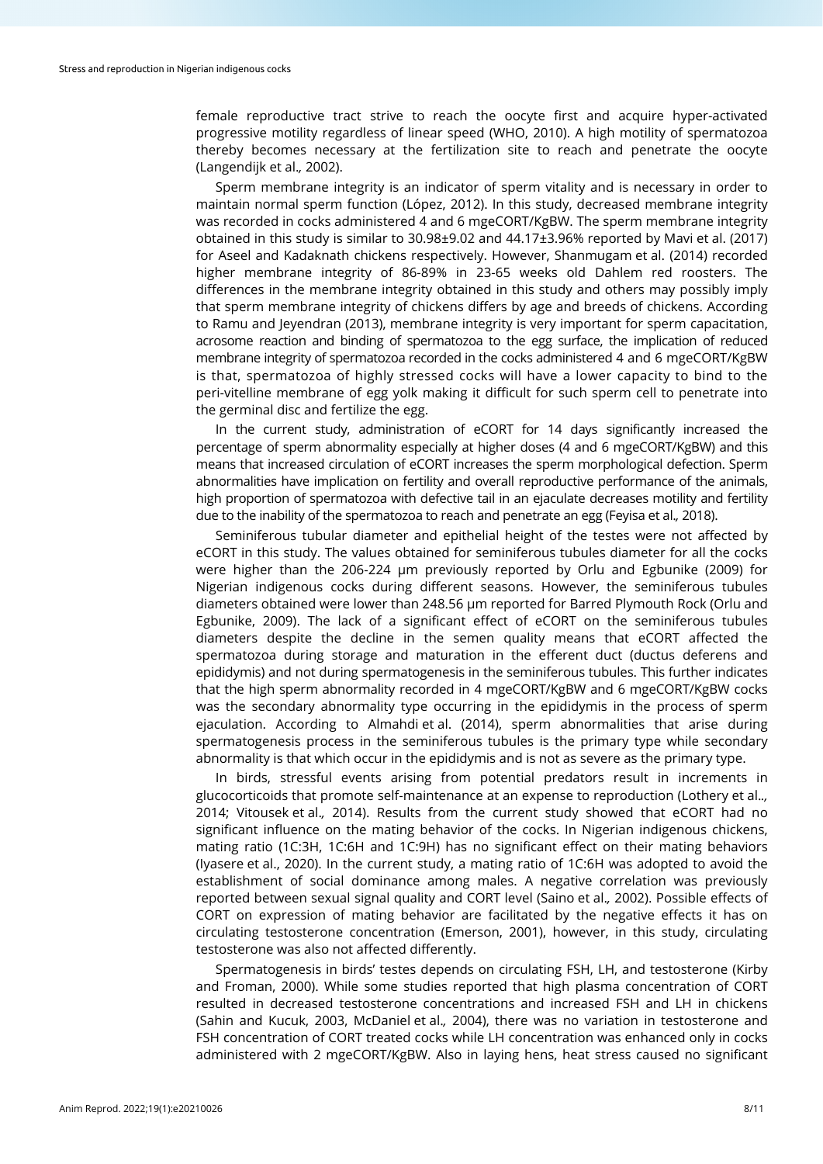female reproductive tract strive to reach the oocyte first and acquire hyper-activated progressive motility regardless of linear speed (WHO, 2010). A high motility of spermatozoa thereby becomes necessary at the fertilization site to reach and penetrate the oocyte (Langendijk et al.*,* 2002).

Sperm membrane integrity is an indicator of sperm vitality and is necessary in order to maintain normal sperm function (López, 2012). In this study, decreased membrane integrity was recorded in cocks administered 4 and 6 mgeCORT/KgBW. The sperm membrane integrity obtained in this study is similar to 30.98±9.02 and 44.17±3.96% reported by Mavi et al. (2017) for Aseel and Kadaknath chickens respectively. However, Shanmugam et al. (2014) recorded higher membrane integrity of 86-89% in 23-65 weeks old Dahlem red roosters. The differences in the membrane integrity obtained in this study and others may possibly imply that sperm membrane integrity of chickens differs by age and breeds of chickens. According to Ramu and Jeyendran (2013), membrane integrity is very important for sperm capacitation, acrosome reaction and binding of spermatozoa to the egg surface, the implication of reduced membrane integrity of spermatozoa recorded in the cocks administered 4 and 6 mgeCORT/KgBW is that, spermatozoa of highly stressed cocks will have a lower capacity to bind to the peri-vitelline membrane of egg yolk making it difficult for such sperm cell to penetrate into the germinal disc and fertilize the egg.

In the current study, administration of eCORT for 14 days significantly increased the percentage of sperm abnormality especially at higher doses (4 and 6 mgeCORT/KgBW) and this means that increased circulation of eCORT increases the sperm morphological defection. Sperm abnormalities have implication on fertility and overall reproductive performance of the animals, high proportion of spermatozoa with defective tail in an ejaculate decreases motility and fertility due to the inability of the spermatozoa to reach and penetrate an egg (Feyisa et al.*,* 2018).

Seminiferous tubular diameter and epithelial height of the testes were not affected by eCORT in this study. The values obtained for seminiferous tubules diameter for all the cocks were higher than the 206-224 μm previously reported by Orlu and Egbunike (2009) for Nigerian indigenous cocks during different seasons. However, the seminiferous tubules diameters obtained were lower than 248.56 μm reported for Barred Plymouth Rock (Orlu and Egbunike, 2009). The lack of a significant effect of eCORT on the seminiferous tubules diameters despite the decline in the semen quality means that eCORT affected the spermatozoa during storage and maturation in the efferent duct (ductus deferens and epididymis) and not during spermatogenesis in the seminiferous tubules. This further indicates that the high sperm abnormality recorded in 4 mgeCORT/KgBW and 6 mgeCORT/KgBW cocks was the secondary abnormality type occurring in the epididymis in the process of sperm ejaculation. According to Almahdi et al. (2014), sperm abnormalities that arise during spermatogenesis process in the seminiferous tubules is the primary type while secondary abnormality is that which occur in the epididymis and is not as severe as the primary type.

In birds, stressful events arising from potential predators result in increments in glucocorticoids that promote self-maintenance at an expense to reproduction (Lothery et al.*.,* 2014; Vitousek et al.*,* 2014). Results from the current study showed that eCORT had no significant influence on the mating behavior of the cocks. In Nigerian indigenous chickens, mating ratio (1C:3H, 1C:6H and 1C:9H) has no significant effect on their mating behaviors (Iyasere et al., 2020). In the current study, a mating ratio of 1C:6H was adopted to avoid the establishment of social dominance among males. A negative correlation was previously reported between sexual signal quality and CORT level (Saino et al.*,* 2002). Possible effects of CORT on expression of mating behavior are facilitated by the negative effects it has on circulating testosterone concentration (Emerson, 2001), however, in this study, circulating testosterone was also not affected differently.

Spermatogenesis in birds' testes depends on circulating FSH, LH, and testosterone (Kirby and Froman, 2000). While some studies reported that high plasma concentration of CORT resulted in decreased testosterone concentrations and increased FSH and LH in chickens (Sahin and Kucuk, 2003, McDaniel et al.*,* 2004), there was no variation in testosterone and FSH concentration of CORT treated cocks while LH concentration was enhanced only in cocks administered with 2 mgeCORT/KgBW. Also in laying hens, heat stress caused no significant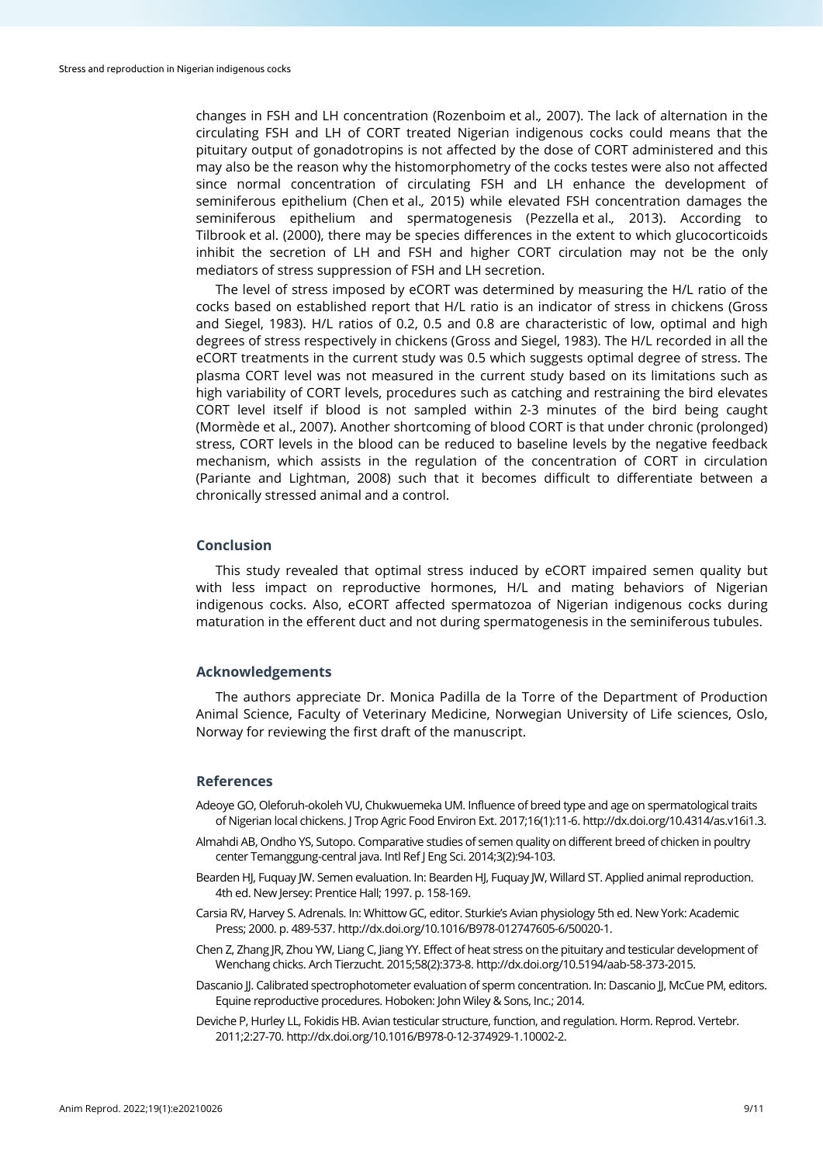changes in FSH and LH concentration (Rozenboim et al.*,* 2007). The lack of alternation in the circulating FSH and LH of CORT treated Nigerian indigenous cocks could means that the pituitary output of gonadotropins is not affected by the dose of CORT administered and this may also be the reason why the histomorphometry of the cocks testes were also not affected since normal concentration of circulating FSH and LH enhance the development of seminiferous epithelium (Chen et al.*,* 2015) while elevated FSH concentration damages the seminiferous epithelium and spermatogenesis (Pezzella et al.*,* 2013). According to Tilbrook et al. (2000), there may be species differences in the extent to which glucocorticoids inhibit the secretion of LH and FSH and higher CORT circulation may not be the only mediators of stress suppression of FSH and LH secretion.

The level of stress imposed by eCORT was determined by measuring the H/L ratio of the cocks based on established report that H/L ratio is an indicator of stress in chickens (Gross and Siegel, 1983). H/L ratios of 0.2, 0.5 and 0.8 are characteristic of low, optimal and high degrees of stress respectively in chickens (Gross and Siegel, 1983). The H/L recorded in all the eCORT treatments in the current study was 0.5 which suggests optimal degree of stress. The plasma CORT level was not measured in the current study based on its limitations such as high variability of CORT levels, procedures such as catching and restraining the bird elevates CORT level itself if blood is not sampled within 2-3 minutes of the bird being caught (Mormède et al., 2007). Another shortcoming of blood CORT is that under chronic (prolonged) stress, CORT levels in the blood can be reduced to baseline levels by the negative feedback mechanism, which assists in the regulation of the concentration of CORT in circulation (Pariante and Lightman, 2008) such that it becomes difficult to differentiate between a chronically stressed animal and a control.

## **Conclusion**

This study revealed that optimal stress induced by eCORT impaired semen quality but with less impact on reproductive hormones, H/L and mating behaviors of Nigerian indigenous cocks. Also, eCORT affected spermatozoa of Nigerian indigenous cocks during maturation in the efferent duct and not during spermatogenesis in the seminiferous tubules.

# **Acknowledgements**

The authors appreciate Dr. Monica Padilla de la Torre of the Department of Production Animal Science, Faculty of Veterinary Medicine, Norwegian University of Life sciences, Oslo, Norway for reviewing the first draft of the manuscript.

## **References**

- Adeoye GO, Oleforuh-okoleh VU, Chukwuemeka UM. Influence of breed type and age on spermatological traits of Nigerian local chickens. J Trop Agric Food Environ Ext. 2017;16(1):11-6. http://dx.doi.org/10.4314/as.v16i1.3.
- Almahdi AB, Ondho YS, Sutopo. Comparative studies of semen quality on different breed of chicken in poultry center Temanggung-central java. Intl Ref J Eng Sci. 2014;3(2):94-103.
- Bearden HJ, Fuquay JW. Semen evaluation. In: Bearden HJ, Fuquay JW, Willard ST. Applied animal reproduction. 4th ed. New Jersey: Prentice Hall; 1997. p. 158-169.
- Carsia RV, Harvey S. Adrenals. In: Whittow GC, editor. Sturkie's Avian physiology 5th ed. New York: Academic Press; 2000. p. 489-537[. http://dx.doi.org/10.1016/B978-012747605-6/50020-1.](https://doi.org/10.1016/B978-012747605-6/50020-1)
- Chen Z, Zhang JR, Zhou YW, Liang C, Jiang YY. Effect of heat stress on the pituitary and testicular development of Wenchang chicks. Arch Tierzucht. 2015;58(2):373-8[. http://dx.doi.org/10.5194/aab-58-373-2015.](https://doi.org/10.5194/aab-58-373-2015)
- Dascanio JJ. Calibrated spectrophotometer evaluation of sperm concentration. In: Dascanio JJ, McCue PM, editors. Equine reproductive procedures. Hoboken: John Wiley & Sons, Inc.; 2014.
- Deviche P, Hurley LL, Fokidis HB. Avian testicular structure, function, and regulation. Horm. Reprod. Vertebr. 2011;2:27-70. http://dx.doi.org/10.1016/B978-0-12-374929-1.10002-2.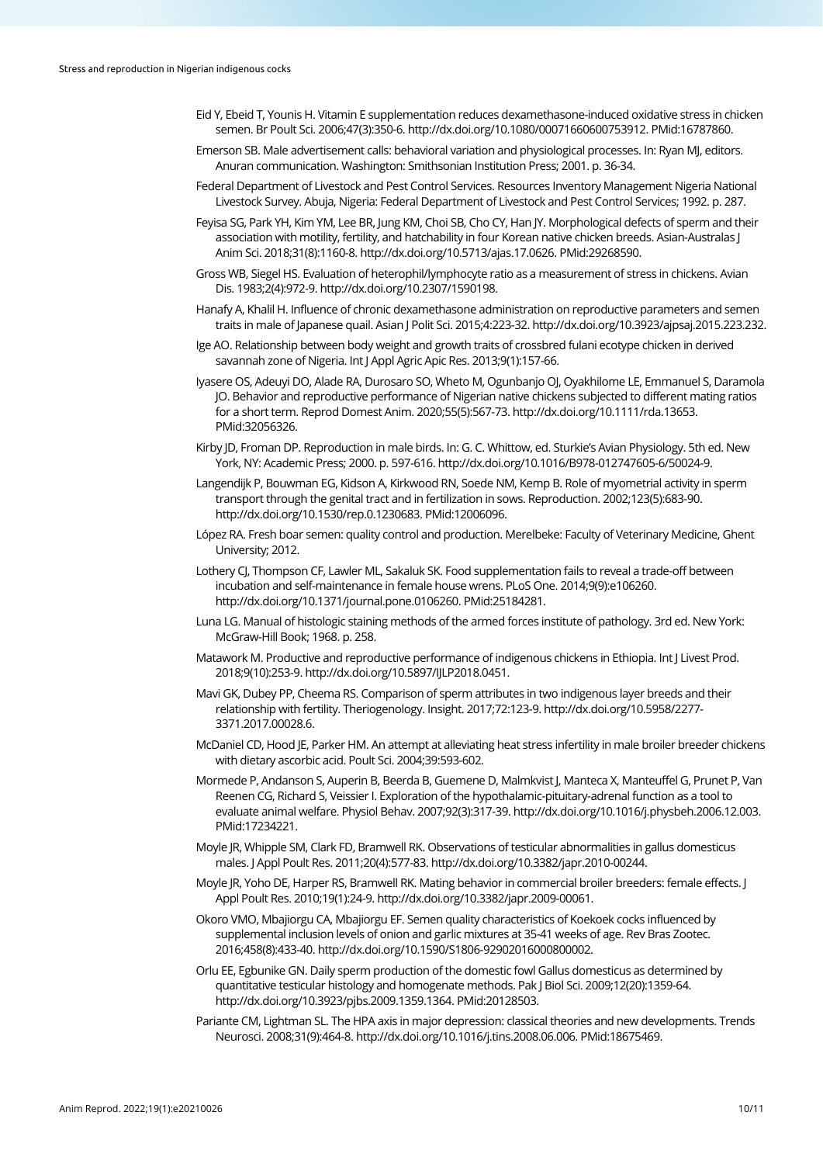- Eid Y, Ebeid T, Younis H. Vitamin E supplementation reduces dexamethasone-induced oxidative stress in chicken semen. Br Poult Sci. 2006;47(3):350-6[. http://dx.doi.org/10.1080/00071660600753912.](https://doi.org/10.1080/00071660600753912) [PMid:16787860.](https://www.ncbi.nlm.nih.gov/entrez/query.fcgi?cmd=Retrieve&db=PubMed&list_uids=16787860&dopt=Abstract)
- Emerson SB. Male advertisement calls: behavioral variation and physiological processes. In: Ryan MJ, editors. Anuran communication. Washington: Smithsonian Institution Press; 2001. p. 36-34.
- Federal Department of Livestock and Pest Control Services. Resources Inventory Management Nigeria National Livestock Survey. Abuja, Nigeria: Federal Department of Livestock and Pest Control Services; 1992. p. 287.
- Feyisa SG, Park YH, Kim YM, Lee BR, Jung KM, Choi SB, Cho CY, Han JY. Morphological defects of sperm and their association with motility, fertility, and hatchability in four Korean native chicken breeds. Asian-Australas J Anim Sci. 2018;31(8):1160-8[. http://dx.doi.org/10.5713/ajas.17.0626.](https://doi.org/10.5713/ajas.17.0626) [PMid:29268590.](https://www.ncbi.nlm.nih.gov/entrez/query.fcgi?cmd=Retrieve&db=PubMed&list_uids=29268590&dopt=Abstract)
- Gross WB, Siegel HS. Evaluation of heterophil/lymphocyte ratio as a measurement of stress in chickens. Avian Dis. 1983;2(4):972-9. http://dx.doi.org/10.2307/1590198.
- Hanafy A, Khalil H. Influence of chronic dexamethasone administration on reproductive parameters and semen traits in male of Japanese quail. Asian J Polit Sci. 2015;4:223-32. http://dx.doi.org/10.3923/ajpsaj.2015.223.232.
- Ige AO. Relationship between body weight and growth traits of crossbred fulani ecotype chicken in derived savannah zone of Nigeria. Int J Appl Agric Apic Res. 2013;9(1):157-66.
- Iyasere OS, Adeuyi DO, Alade RA, Durosaro SO, Wheto M, Ogunbanjo OJ, Oyakhilome LE, Emmanuel S, Daramola JO. Behavior and reproductive performance of Nigerian native chickens subjected to different mating ratios for a short term. Reprod Domest Anim. 2020;55(5):567-73[. http://dx.doi.org/10.1111/rda.13653](https://doi.org/10.1111/rda.13653)[.](https://www.ncbi.nlm.nih.gov/entrez/query.fcgi?cmd=Retrieve&db=PubMed&list_uids=32056326&dopt=Abstract) [PMid:32056326.](https://www.ncbi.nlm.nih.gov/entrez/query.fcgi?cmd=Retrieve&db=PubMed&list_uids=32056326&dopt=Abstract)
- Kirby JD, Froman DP. Reproduction in male birds. In: G. C. Whittow, ed. Sturkie's Avian Physiology. 5th ed. New York, NY: Academic Press; 2000. p. 597-616[. http://dx.doi.org/10.1016/B978-012747605-6/50024-9.](http://dx.doi.org/10.1016/B978-012747605-6/50024-9)
- Langendijk P, Bouwman EG, Kidson A, Kirkwood RN, Soede NM, Kemp B. Role of myometrial activity in sperm transport through the genital tract and in fertilization in sows. Reproduction. 2002;123(5):683-90. [http://dx.doi.org/10.1530/rep.0.1230683.](https://doi.org/10.1530/rep.0.1230683) [PMid:12006096.](https://www.ncbi.nlm.nih.gov/entrez/query.fcgi?cmd=Retrieve&db=PubMed&list_uids=12006096&dopt=Abstract)
- López RA. Fresh boar semen: quality control and production. Merelbeke: Faculty of Veterinary Medicine, Ghent University; 2012.
- Lothery CJ, Thompson CF, Lawler ML, Sakaluk SK. Food supplementation fails to reveal a trade-off between incubation and self-maintenance in female house wrens. PLoS One. 2014;9(9):e106260. [http://dx.doi.org/10.1371/journal.pone.0106260.](https://doi.org/10.1371/journal.pone.0106260) [PMid:25184281.](https://www.ncbi.nlm.nih.gov/entrez/query.fcgi?cmd=Retrieve&db=PubMed&list_uids=25184281&dopt=Abstract)
- Luna LG. Manual of histologic staining methods of the armed forces institute of pathology. 3rd ed. New York: McGraw-Hill Book; 1968. p. 258.
- Matawork M. Productive and reproductive performance of indigenous chickens in Ethiopia. Int J Livest Prod. 2018;9(10):253-9[. http://dx.doi.org/10.5897/IJLP2018.0451.](https://doi.org/10.5897/IJLP2018.0451)
- Mavi GK, Dubey PP, Cheema RS. Comparison of sperm attributes in two indigenous layer breeds and their relationship with fertility. Theriogenology. Insight. 2017;72:123-9. http://dx.doi.org/10.5958/2277- 3371.2017.00028.6.
- McDaniel CD, Hood JE, Parker HM. An attempt at alleviating heat stress infertility in male broiler breeder chickens with dietary ascorbic acid. Poult Sci. 2004;39:593-602.
- Mormede P, Andanson S, Auperin B, Beerda B, Guemene D, Malmkvist J, Manteca X, Manteuffel G, Prunet P, Van Reenen CG, Richard S, Veissier I. Exploration of the hypothalamic-pituitary-adrenal function as a tool to evaluate animal welfare. Physiol Behav. 2007;92(3):317-39[. http://dx.doi.org/10.1016/j.physbeh.2006.12.003.](https://doi.org/10.1016/j.physbeh.2006.12.003) [PMid:17234221.](https://www.ncbi.nlm.nih.gov/entrez/query.fcgi?cmd=Retrieve&db=PubMed&list_uids=17234221&dopt=Abstract)
- Moyle JR, Whipple SM, Clark FD, Bramwell RK. Observations of testicular abnormalities in gallus domesticus males. J Appl Poult Res. 2011;20(4):577-83[. http://dx.doi.org/10.3382/japr.2010-00244.](https://doi.org/10.3382/japr.2010-00244)
- Moyle JR, Yoho DE, Harper RS, Bramwell RK. Mating behavior in commercial broiler breeders: female effects. J Appl Poult Res. 2010;19(1):24-9[. http://dx.doi.org/10.3382/japr.2009-00061.](https://doi.org/10.3382/japr.2009-00061)
- Okoro VMO, Mbajiorgu CA, Mbajiorgu EF. Semen quality characteristics of Koekoek cocks influenced by supplemental inclusion levels of onion and garlic mixtures at 35-41 weeks of age. Rev Bras Zootec. 2016;458(8):433-40[. http://dx.doi.org/10.1590/S1806-92902016000800002.](https://doi.org/10.1590/S1806-92902016000800002)
- Orlu EE, Egbunike GN. Daily sperm production of the domestic fowl Gallus domesticus as determined by quantitative testicular histology and homogenate methods. Pak J Biol Sci. 2009;12(20):1359-64. [http://dx.doi.org/10.3923/pjbs.2009.1359.1364.](https://doi.org/10.3923/pjbs.2009.1359.1364) [PMid:20128503.](https://www.ncbi.nlm.nih.gov/entrez/query.fcgi?cmd=Retrieve&db=PubMed&list_uids=20128503&dopt=Abstract)
- Pariante CM, Lightman SL. The HPA axis in major depression: classical theories and new developments. Trends Neurosci. 2008;31(9):464-8[. http://dx.doi.org/10.1016/j.tins.2008.06.006.](https://doi.org/10.1016/j.tins.2008.06.006) [PMid:18675469.](https://www.ncbi.nlm.nih.gov/entrez/query.fcgi?cmd=Retrieve&db=PubMed&list_uids=18675469&dopt=Abstract)